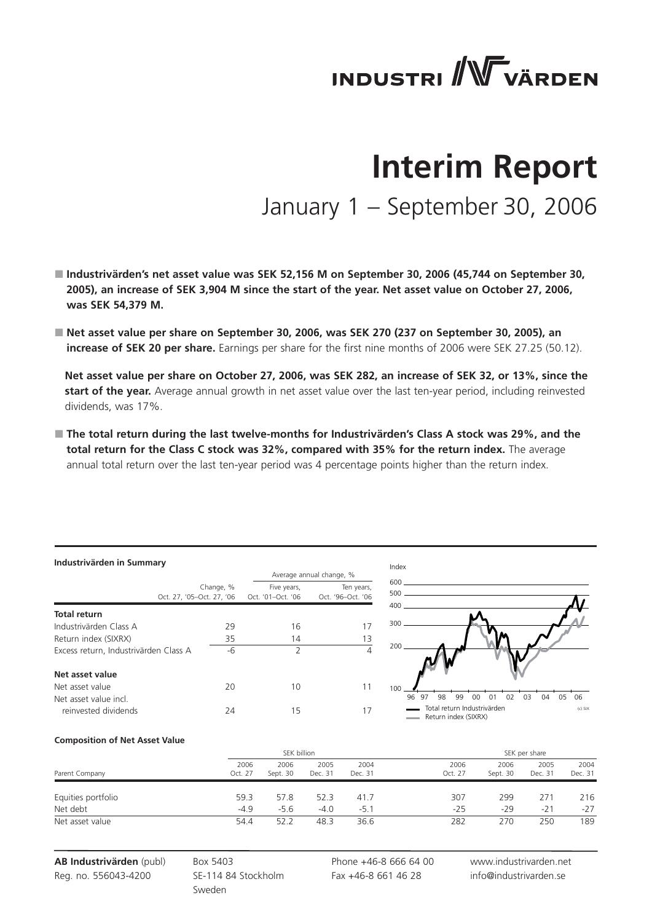# **INDUSTRI** WVÄRDEN

# **Interim Report** January 1 – September 30, 2006

- **Industrivärden's net asset value was SEK 52,156 M on September 30, 2006 (45,744 on September 30, 2005), an increase of SEK 3,904 M since the start of the year. Net asset value on October 27, 2006, was SEK 54,379 M.**
- Net asset value per share on September 30, 2006, was SEK 270 (237 on September 30, 2005), an **increase of SEK 20 per share.** Earnings per share for the first nine months of 2006 were SEK 27.25 (50.12).

 **Net asset value per share on October 27, 2006, was SEK 282, an increase of SEK 32, or 13%, since the start of the year.** Average annual growth in net asset value over the last ten-year period, including reinvested dividends, was 17%.

 **The total return during the last twelve-months for Industrivärden's Class A stock was 29%, and the total return for the Class C stock was 32%, compared with 35% for the return index.** The average annual total return over the last ten-year period was 4 percentage points higher than the return index.

#### **Industrivärden in Summary**

| $max1$ , $max1$ , $min2$ , $min1$     |           |                   |                          | Index                                               |    |
|---------------------------------------|-----------|-------------------|--------------------------|-----------------------------------------------------|----|
|                                       |           |                   | Average annual change, % |                                                     |    |
|                                       | Change, % | Five years,       | Ten years,               | 600<br>500                                          |    |
| Oct. 27, '05-Oct. 27, '06             |           | Oct. '01-Oct. '06 | Oct. '96-Oct. '06        | 400                                                 |    |
| <b>Total return</b>                   |           |                   |                          |                                                     |    |
| Industrivärden Class A                | 29        | 16                |                          | 300                                                 |    |
| Return index (SIXRX)                  | 35        | 14                | 13                       |                                                     |    |
| Excess return, Industrivärden Class A | $-6$      | っ                 | 4                        | 200                                                 |    |
| Net asset value                       |           |                   |                          |                                                     |    |
| Net asset value                       | 20        | 10                | 11                       | 100                                                 |    |
| Net asset value incl.                 |           |                   |                          | 99<br>98<br>00<br>96<br>97<br>01                    | 02 |
| reinvested dividends                  | 24        | 15                | 17                       | Total return Industrivärden<br>Return index (SIXRX) |    |



#### **Composition of Net Asset Value**

|                    |                 | SEK billion      |                 |                 |                 | SEK per share    |                 |                 |
|--------------------|-----------------|------------------|-----------------|-----------------|-----------------|------------------|-----------------|-----------------|
| Parent Company     | 2006<br>Oct. 27 | 2006<br>Sept. 30 | 2005<br>Dec. 31 | 2004<br>Dec. 31 | 2006<br>Oct. 27 | 2006<br>Sept. 30 | 2005<br>Dec. 31 | 2004<br>Dec. 31 |
| Equities portfolio | 59.3            | 57.8             | 52.3            | 41.7            | 307             | 299              | 271             | 216             |
| Net debt           | $-4.9$          | $-5.6$           | $-4.0$          | $-5.1$          | $-25$           | $-29$            | $-21$           | $-27$           |
| Net asset value    | 54.4            | 52.2             | 48.3            | 36.6            | 282             | 270              | 250             | 189             |

**AB Industrivärden** (publ) Reg. no. 556043-4200

Box 5403 SE-114 84 Stockholm Sweden

13 Phone +46-8 666 64 00 Fax +46-8 661 46 28

www.industrivarden.net info@industrivarden.se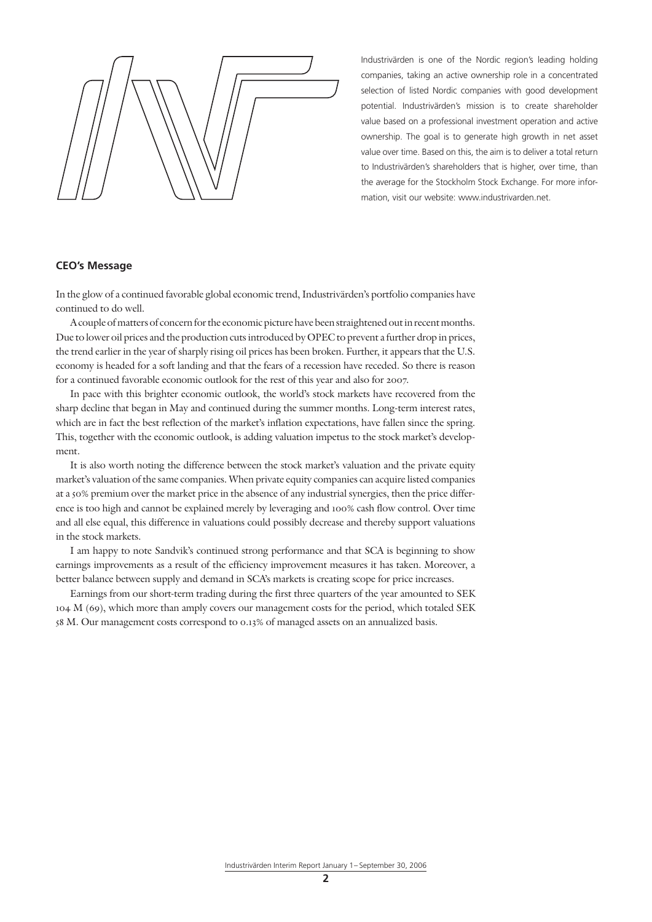Industrivärden is one of the Nordic region's leading holding companies, taking an active ownership role in a concentrated selection of listed Nordic companies with good development potential. Industrivärden's mission is to create shareholder value based on a professional investment operation and active ownership. The goal is to generate high growth in net asset value over time. Based on this, the aim is to deliver a total return to Industrivärden's shareholders that is higher, over time, than the average for the Stockholm Stock Exchange. For more information, visit our website: www.industrivarden.net.

### **CEO's Message**

In the glow of a continued favorable global economic trend, Industrivärden's portfolio companies have continued to do well.

A couple of matters of concern for the economic picture have been straightened out in recent months. Due to lower oil prices and the production cuts introduced by OPEC to prevent a further drop in prices, the trend earlier in the year of sharply rising oil prices has been broken. Further, it appears that the U.S. economy is headed for a soft landing and that the fears of a recession have receded. So there is reason for a continued favorable economic outlook for the rest of this year and also for 2007.

In pace with this brighter economic outlook, the world's stock markets have recovered from the sharp decline that began in May and continued during the summer months. Long-term interest rates, which are in fact the best reflection of the market's inflation expectations, have fallen since the spring. This, together with the economic outlook, is adding valuation impetus to the stock market's development.

It is also worth noting the difference between the stock market's valuation and the private equity market's valuation of the same companies. When private equity companies can acquire listed companies at a 50% premium over the market price in the absence of any industrial synergies, then the price difference is too high and cannot be explained merely by leveraging and 100% cash flow control. Over time and all else equal, this difference in valuations could possibly decrease and thereby support valuations in the stock markets.

I am happy to note Sandvik's continued strong performance and that SCA is beginning to show earnings improvements as a result of the efficiency improvement measures it has taken. Moreover, a better balance between supply and demand in SCA's markets is creating scope for price increases.

Earnings from our short-term trading during the first three quarters of the year amounted to SEK 104 M (69), which more than amply covers our management costs for the period, which totaled SEK 58 M. Our management costs correspond to 0.13% of managed assets on an annualized basis.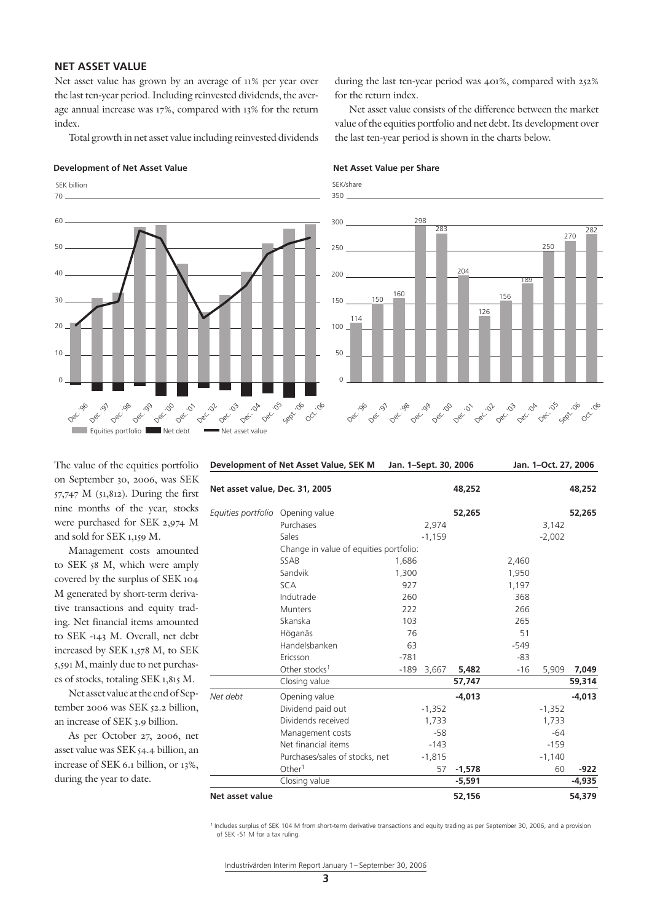# **NET ASSET VALUE**

Net asset value has grown by an average of 11% per year over the last ten-year period. Including reinvested dividends, the average annual increase was 17%, compared with 13% for the return index.

Total growth in net asset value including reinvested dividends

#### **Development of Net Asset Value Net Asset Value per Share**

 $\overline{0}$ 10  $20$ 30  $40$ 50 70 60 Equities portfolio Net debt Net asset value Dec. Dec. 08c.<br>Dec. 08c. , 099<br>Dec. Dec. 00 Dec. 01 Dec. 01  $0^{e^{C}}$  $0e^C$ Dec. 05 0<sup>0</sup>.06 Sept. 06 SEK billion

during the last ten-year period was 401%, compared with 252% for the return index.

Net asset value consists of the difference between the market value of the equities portfolio and net debt. Its development over the last ten-year period is shown in the charts below.

SEK/share



The value of the equities portfolio on September 30, 2006, was SEK 57,747 M (51,812). During the first nine months of the year, stocks were purchased for SEK 2,974 M and sold for SEK 1,159 M.

Management costs amounted to SEK 58 M, which were amply covered by the surplus of SEK 104 M generated by short-term derivative transactions and equity trading. Net financial items amounted to SEK -143 M. Overall, net debt increased by SEK 1,578 M, to SEK 5,591 M, mainly due to net purchases of stocks, totaling SEK 1,815 M.

Net asset value at the end of September 2006 was SEK 52.2 billion, an increase of SEK 3.9 billion.

As per October 27, 2006, net asset value was SEK 54.4 billion, an increase of SEK 6.1 billion, or 13%, during the year to date.

| Development of Net Asset Value, SEK M |                                        |        | Jan. 1-Sept. 30, 2006 |          |            | Jan. 1-Oct. 27, 2006 |          |  |
|---------------------------------------|----------------------------------------|--------|-----------------------|----------|------------|----------------------|----------|--|
| Net asset value, Dec. 31, 2005        |                                        |        |                       | 48,252   |            |                      | 48,252   |  |
| Equities portfolio                    | Opening value                          |        |                       | 52,265   |            |                      | 52,265   |  |
|                                       | Purchases                              |        | 2,974                 |          |            | 3,142                |          |  |
|                                       | Sales                                  |        | $-1,159$              |          |            | $-2,002$             |          |  |
|                                       | Change in value of equities portfolio: |        |                       |          |            |                      |          |  |
|                                       | SSAB                                   | 1,686  |                       |          | 2,460      |                      |          |  |
|                                       | Sandvik                                | 1,300  |                       |          | 1,950      |                      |          |  |
|                                       | <b>SCA</b>                             | 927    |                       |          | 1,197      |                      |          |  |
|                                       | Indutrade                              | 260    |                       |          | 368<br>266 |                      |          |  |
|                                       | <b>Munters</b>                         | 222    |                       |          |            |                      |          |  |
|                                       | Skanska                                | 103    |                       |          | 265        |                      |          |  |
|                                       | Höganäs                                | 76     |                       |          | 51         |                      |          |  |
|                                       | Handelsbanken                          | 63     |                       |          | $-549$     |                      |          |  |
|                                       | Ericsson                               | $-781$ |                       |          | $-83$      |                      |          |  |
|                                       | Other stocks <sup>1</sup>              | -189   | 3,667                 | 5,482    | $-16$      | 5,909                | 7,049    |  |
|                                       | Closing value                          |        |                       | 57,747   |            |                      | 59,314   |  |
| Net debt                              | Opening value                          |        |                       | $-4,013$ |            |                      | $-4,013$ |  |
|                                       | Dividend paid out                      |        | $-1,352$              |          |            | $-1,352$             |          |  |
|                                       | Dividends received                     |        | 1,733                 |          |            | 1,733                |          |  |
|                                       | Management costs                       |        | $-58$                 |          |            | $-64$                |          |  |
|                                       | Net financial items                    |        | $-143$                |          |            | $-159$               |          |  |
|                                       | Purchases/sales of stocks, net         |        | $-1,815$              |          |            | $-1,140$             |          |  |
|                                       | Other <sup>1</sup>                     |        | 57                    | $-1,578$ |            | 60                   | -922     |  |
|                                       | Closing value                          |        |                       | $-5,591$ |            |                      | $-4,935$ |  |
| Net asset value                       |                                        |        |                       | 52,156   |            |                      | 54,379   |  |
|                                       |                                        |        |                       |          |            |                      |          |  |

1 Includes surplus of SEK 104 M from short-term derivative transactions and equity trading as per September 30, 2006, and a provision of SEK -51 M for a tax ruling.

Industrivärden Interim Report January 1– September 30, 2006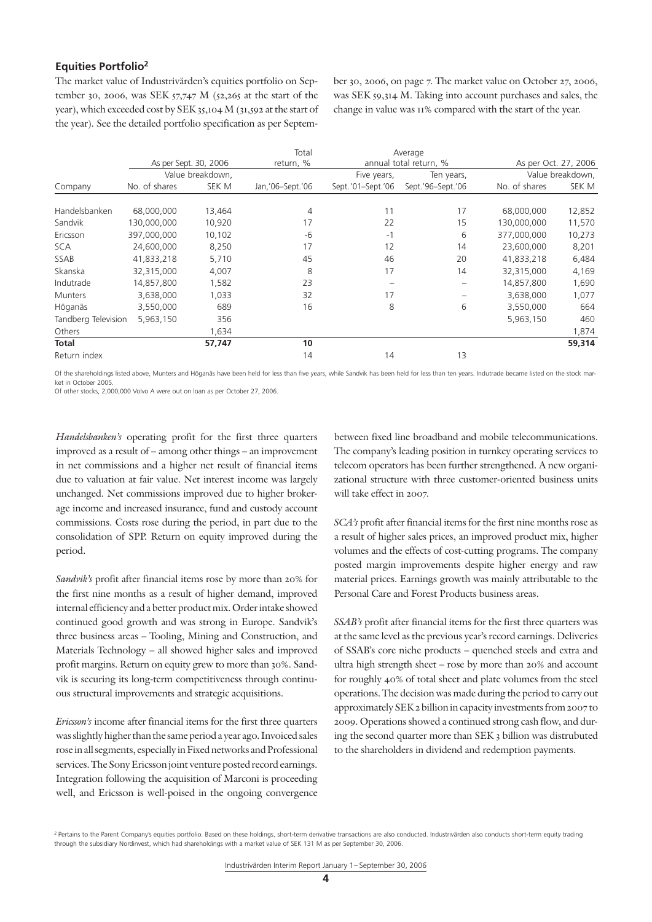# **Equities Portfolio2**

The market value of Industrivärden's equities portfolio on September 30, 2006, was SEK  $57,747$  M  $(52,265)$  at the start of the year), which exceeded cost by SEK 35,104 M (31,592 at the start of the year). See the detailed portfolio specification as per Septem-

ber 30, 2006, on page 7. The market value on October 27, 2006, was SEK 59,314 M. Taking into account purchases and sales, the change in value was 11% compared with the start of the year.

|                     |               |                       | Total             |                   | Average                |               |                      |
|---------------------|---------------|-----------------------|-------------------|-------------------|------------------------|---------------|----------------------|
|                     |               | As per Sept. 30, 2006 | return, %         |                   | annual total return, % |               | As per Oct. 27, 2006 |
|                     |               | Value breakdown,      |                   | Five years,       | Ten years,             |               | Value breakdown,     |
| Company             | No. of shares | SEK M                 | Jan, '06-Sept.'06 | Sept.'01-Sept.'06 | Sept.'96-Sept.'06      | No. of shares | SEK M                |
|                     |               |                       |                   |                   |                        |               |                      |
| Handelsbanken       | 68,000,000    | 13,464                | 4                 | 11                | 17                     | 68,000,000    | 12,852               |
| Sandvik             | 130,000,000   | 10,920                | 17                | 22                | 15                     | 130,000,000   | 11,570               |
| Ericsson            | 397,000,000   | 10,102                | -6                | $-1$              | 6                      | 377,000,000   | 10,273               |
| <b>SCA</b>          | 24,600,000    | 8,250                 | 17                | 12                | 14                     | 23,600,000    | 8,201                |
| <b>SSAB</b>         | 41,833,218    | 5,710                 | 45                | 46                | 20                     | 41,833,218    | 6,484                |
| Skanska             | 32,315,000    | 4,007                 | 8                 | 17                | 14                     | 32,315,000    | 4,169                |
| Indutrade           | 14,857,800    | 1,582                 | 23                |                   | -                      | 14,857,800    | 1,690                |
| <b>Munters</b>      | 3,638,000     | 1,033                 | 32                | 17                | -                      | 3,638,000     | 1,077                |
| Höganäs             | 3,550,000     | 689                   | 16                | 8                 | 6                      | 3,550,000     | 664                  |
| Tandberg Television | 5,963,150     | 356                   |                   |                   |                        | 5,963,150     | 460                  |
| Others              |               | 1,634                 |                   |                   |                        |               | 1,874                |
| <b>Total</b>        |               | 57,747                | 10                |                   |                        |               | 59,314               |
| Return index        |               |                       | 14                | 14                | 13                     |               |                      |

Of the shareholdings listed above, Munters and Höganäs have been held for less than five years, while Sandvik has been held for less than ten years. Indutrade became listed on the stock market in October 2005.

Of other stocks, 2,000,000 Volvo A were out on loan as per October 27, 2006.

*Handelsbanken's* operating profit for the first three quarters improved as a result of – among other things – an improvement in net commissions and a higher net result of financial items due to valuation at fair value. Net interest income was largely unchanged. Net commissions improved due to higher brokerage income and increased insurance, fund and custody account commissions. Costs rose during the period, in part due to the consolidation of SPP. Return on equity improved during the period.

*Sandvik's* profit after financial items rose by more than 20% for the first nine months as a result of higher demand, improved internal efficiency and a better product mix. Order intake showed continued good growth and was strong in Europe. Sandvik's three business areas – Tooling, Mining and Construction, and Materials Technology – all showed higher sales and improved profit margins. Return on equity grew to more than 30%. Sandvik is securing its long-term competitiveness through continuous structural improvements and strategic acquisitions.

*Ericsson's* income after financial items for the first three quarters was slightly higher than the same period a year ago. Invoiced sales rose in all segments, especially in Fixed networks and Professional services. The Sony Ericsson joint venture posted record earnings. Integration following the acquisition of Marconi is proceeding well, and Ericsson is well-poised in the ongoing convergence

between fixed line broadband and mobile telecommunications. The company's leading position in turnkey operating services to telecom operators has been further strengthened. A new organizational structure with three customer-oriented business units will take effect in 2007.

*SCA's* profit after financial items for the first nine months rose as a result of higher sales prices, an improved product mix, higher volumes and the effects of cost-cutting programs. The company posted margin improvements despite higher energy and raw material prices. Earnings growth was mainly attributable to the Personal Care and Forest Products business areas.

*SSAB's* profit after financial items for the first three quarters was at the same level as the previous year's record earnings. Deliveries of SSAB's core niche products – quenched steels and extra and ultra high strength sheet – rose by more than 20% and account for roughly 40% of total sheet and plate volumes from the steel operations. The decision was made during the period to carry out approximately SEK 2 billion in capacity investments from 2007 to 2009. Operations showed a continued strong cash flow, and during the second quarter more than SEK 3 billion was distrubuted to the shareholders in dividend and redemption payments.

<sup>&</sup>lt;sup>2</sup> Pertains to the Parent Company's equities portfolio. Based on these holdings, short-term derivative transactions are also conducted. Industrivärden also conducts short-term equity trading through the subsidiary Nordinvest, which had shareholdings with a market value of SEK 131 M as per September 30, 2006.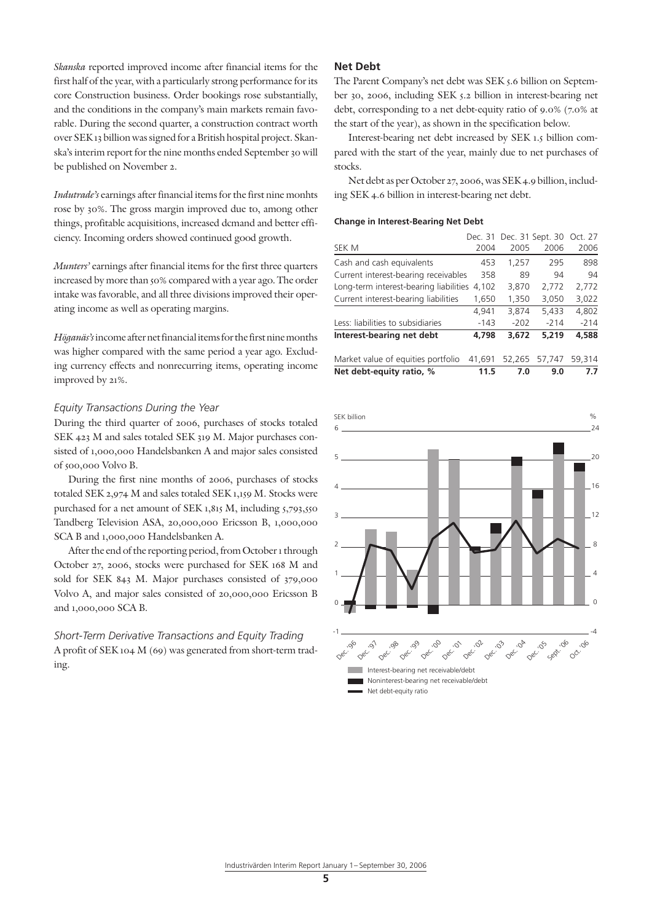*Skanska* reported improved income after financial items for the first half of the year, with a particularly strong performance for its core Construction business. Order bookings rose substantially, and the conditions in the company's main markets remain favorable. During the second quarter, a construction contract worth over SEK 13 billion was signed for a British hospital project. Skanska's interim report for the nine months ended September 30 will be published on November 2.

*Indutrade's* earnings after financial items for the first nine monhts rose by 30%. The gross margin improved due to, among other things, profitable acquisitions, increased dcmand and better efficiency. Incoming orders showed continued good growth.

*Munters'* earnings after financial items for the first three quarters increased by more than 50% compared with a year ago. The order intake was favorable, and all three divisions improved their operating income as well as operating margins.

*Höganäs's* income after net financial items for the first nine months was higher compared with the same period a year ago. Excluding currency effects and nonrecurring items, operating income improved by 21%.

#### *Equity Transactions During the Year*

During the third quarter of 2006, purchases of stocks totaled SEK 423 M and sales totaled SEK 319 M. Major purchases consisted of 1,000,000 Handelsbanken A and major sales consisted of 500,000 Volvo B.

During the first nine months of 2006, purchases of stocks totaled SEK 2,974 M and sales totaled SEK 1,159 M. Stocks were purchased for a net amount of SEK 1,815 M, including 5,793,550 Tandberg Television ASA, 20,000,000 Ericsson B, 1,000,000 SCA B and 1,000,000 Handelsbanken A.

After the end of the reporting period, from October 1 through October 27, 2006, stocks were purchased for SEK 168 M and sold for SEK 843 M. Major purchases consisted of 379,000 Volvo A, and major sales consisted of 20,000,000 Ericsson B and 1,000,000 SCA B.

*Short-Term Derivative Transactions and Equity Trading* A profit of SEK 104 M (69) was generated from short-term trading.

# **Net Debt**

The Parent Company's net debt was SEK 5.6 billion on September 30, 2006, including SEK 5.2 billion in interest-bearing net debt, corresponding to a net debt-equity ratio of 9.0% (7.0% at the start of the year), as shown in the specification below.

Interest-bearing net debt increased by SEK 1.5 billion compared with the start of the year, mainly due to net purchases of stocks.

Net debt as per October 27, 2006, was SEK 4.9 billion, including SEK 4.6 billion in interest-bearing net debt.

#### **Change in Interest-Bearing Net Debt**

| Net debt-equity ratio, %               | 11.5   | 7.0    | 9.0                              | 7.7    |
|----------------------------------------|--------|--------|----------------------------------|--------|
| Market value of equities portfolio     | 41.691 | 52,265 | 57.747                           | 59.314 |
| Interest-bearing net debt              | 4.798  | 3.672  | 5.219                            | 4.588  |
| Less: liabilities to subsidiaries      | $-143$ | $-202$ | $-214$                           | $-214$ |
|                                        | 4,941  | 3.874  | 5.433                            | 4,802  |
| Current interest-bearing liabilities   | 1,650  | 1,350  | 3,050                            | 3,022  |
| Long-term interest-bearing liabilities | 4,102  | 3,870  | 2,772                            | 2,772  |
| Current interest-bearing receivables   | 358    | 89     | 94                               | 94     |
| Cash and cash equivalents              | 453    | 1,257  | 295                              | 898    |
| SEK M                                  | 2004   | 2005   | 2006                             | 2006   |
|                                        |        |        | Dec. 31 Dec. 31 Sept. 30 Oct. 27 |        |

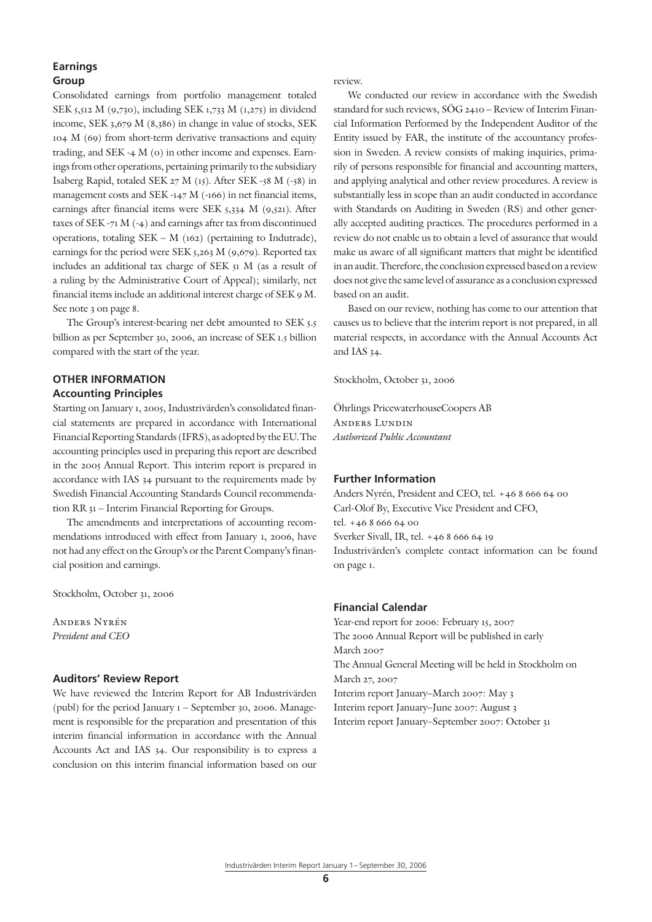# **Earnings Group**

Consolidated earnings from portfolio management totaled SEK 5,512 M (9,730), including SEK 1,733 M (1,275) in dividend income, SEK 3,679 M (8,386) in change in value of stocks, SEK 104 M (69) from short-term derivative transactions and equity trading, and SEK -4 M (0) in other income and expenses. Earnings from other operations, pertaining primarily to the subsidiary Isaberg Rapid, totaled SEK 27 M (15). After SEK -58 M (-58) in management costs and SEK -147 M (-166) in net financial items, earnings after financial items were SEK 5,334 M (9,521). After taxes of SEK -71 M (-4) and earnings after tax from discontinued operations, totaling SEK – M (162) (pertaining to Indutrade), earnings for the period were SEK 5,263 M (9,679). Reported tax includes an additional tax charge of SEK 51 M (as a result of a ruling by the Administrative Court of Appeal); similarly, net financial items include an additional interest charge of SEK 9 M. See note 3 on page 8.

The Group's interest-bearing net debt amounted to SEK 5.5 billion as per September 30, 2006, an increase of SEK 1.5 billion compared with the start of the year.

# **OTHER INFORMATION Accounting Principles**

Starting on January 1, 2005, Industrivärden's consolidated financial statements are prepared in accordance with International Financial Reporting Standards (IFRS), as adopted by the EU. The accounting principles used in preparing this report are described in the 2005 Annual Report. This interim report is prepared in accordance with IAS 34 pursuant to the requirements made by Swedish Financial Accounting Standards Council recommendation RR 31 – Interim Financial Reporting for Groups.

The amendments and interpretations of accounting recommendations introduced with effect from January 1, 2006, have not had any effect on the Group's or the Parent Company's financial position and earnings.

Stockholm, October 31, 2006

Anders Nyrén *President and CEO*

## **Auditors' Review Report**

We have reviewed the Interim Report for AB Industrivärden (publ) for the period January 1 – September 30, 2006. Management is responsible for the preparation and presentation of this interim financial information in accordance with the Annual Accounts Act and IAS 34. Our responsibility is to express a conclusion on this interim financial information based on our

review.

We conducted our review in accordance with the Swedish standard for such reviews, SÖG 2410 – Review of Interim Financial Information Performed by the Independent Auditor of the Entity issued by FAR, the institute of the accountancy profession in Sweden. A review consists of making inquiries, primarily of persons responsible for financial and accounting matters, and applying analytical and other review procedures. A review is substantially less in scope than an audit conducted in accordance with Standards on Auditing in Sweden (RS) and other generally accepted auditing practices. The procedures performed in a review do not enable us to obtain a level of assurance that would make us aware of all significant matters that might be identified in an audit. Therefore, the conclusion expressed based on a review does not give the same level of assurance as a conclusion expressed based on an audit.

Based on our review, nothing has come to our attention that causes us to believe that the interim report is not prepared, in all material respects, in accordance with the Annual Accounts Act and IAS 34.

Stockholm, October 31, 2006

Öhrlings PricewaterhouseCoopers AB Anders Lundin *Authorized Public Accountant*

### **Further Information**

Anders Nyrén, President and CEO, tel. +46 8 666 64 00 Carl-Olof By, Executive Vice President and CFO, tel. +46 8 666 64 00 Sverker Sivall, IR, tel. +46 8 666 64 19 Industrivärden's complete contact information can be found on page 1.

# **Financial Calendar**

Year-end report for 2006: February 15, 2007 The 2006 Annual Report will be published in early March 2007 The Annual General Meeting will be held in Stockholm on March 27, 2007 Interim report January–March 2007: May 3 Interim report January–June 2007: August 3 Interim report January–September 2007: October 31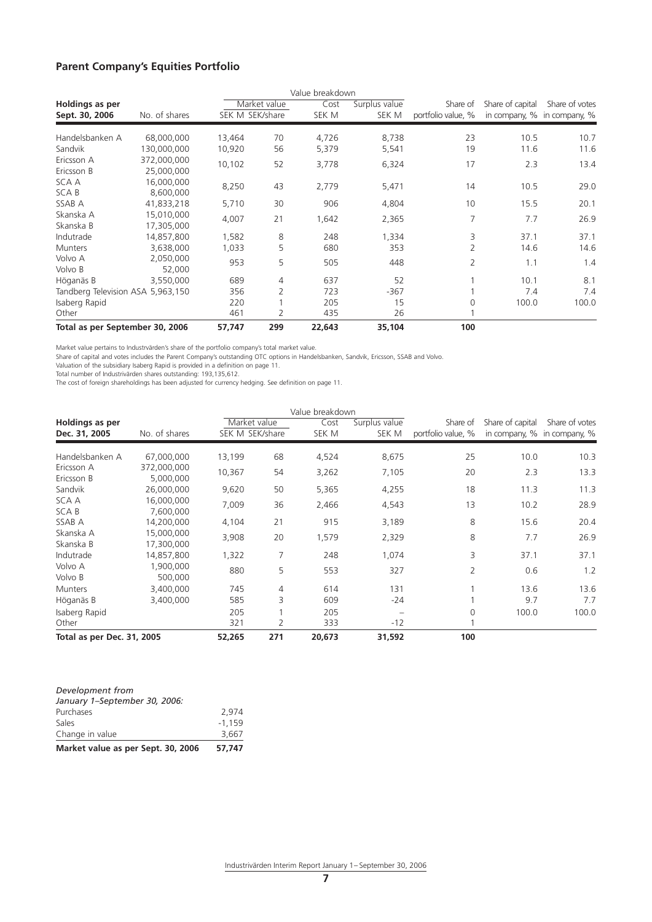# **Parent Company's Equities Portfolio**

|                                          |                           |                 |              | Value breakdown |                        |                                |                  |                                               |
|------------------------------------------|---------------------------|-----------------|--------------|-----------------|------------------------|--------------------------------|------------------|-----------------------------------------------|
| <b>Holdings as per</b><br>Sept. 30, 2006 | No. of shares             | SEK M SEK/share | Market value | Cost<br>SEK M   | Surplus value<br>SEK M | Share of<br>portfolio value, % | Share of capital | Share of votes<br>in company, % in company, % |
| Handelsbanken A                          | 68,000,000                | 13,464          | 70           | 4,726           | 8,738                  | 23                             | 10.5             | 10.7                                          |
| Sandvik                                  | 130,000,000               | 10,920          | 56           | 5,379           | 5,541                  | 19                             | 11.6             | 11.6                                          |
| Ericsson A<br>Ericsson B                 | 372,000,000<br>25,000,000 | 10,102          | 52           | 3,778           | 6,324                  | 17                             | 2.3              | 13.4                                          |
| SCA A<br><b>SCAB</b>                     | 16,000,000<br>8,600,000   | 8,250           | 43           | 2,779           | 5,471                  | 14                             | 10.5             | 29.0                                          |
| SSAB A                                   | 41,833,218                | 5,710           | 30           | 906             | 4,804                  | 10                             | 15.5             | 20.1                                          |
| Skanska A<br>Skanska B                   | 15,010,000<br>17,305,000  | 4,007           | 21           | 1,642           | 2,365                  | 7                              | 7.7              | 26.9                                          |
| Indutrade                                | 14,857,800                | 1,582           | 8            | 248             | 1,334                  | 3                              | 37.1             | 37.1                                          |
| <b>Munters</b>                           | 3,638,000                 | 1,033           | 5            | 680             | 353                    | $\overline{2}$                 | 14.6             | 14.6                                          |
| Volvo A<br>Volvo B                       | 2,050,000<br>52,000       | 953             | 5            | 505             | 448                    | 2                              | 1.1              | 1.4                                           |
| Höganäs B                                | 3,550,000                 | 689             | 4            | 637             | 52                     |                                | 10.1             | 8.1                                           |
| Tandberg Television ASA 5,963,150        |                           | 356             | 2            | 723             | $-367$                 |                                | 7.4              | 7.4                                           |
| Isaberg Rapid                            |                           | 220             |              | 205             | 15                     | 0                              | 100.0            | 100.0                                         |
| Other                                    |                           | 461             | 2            | 435             | 26                     |                                |                  |                                               |
| Total as per September 30, 2006          |                           | 57,747          | 299          | 22,643          | 35,104                 | 100                            |                  |                                               |

Market value pertains to Industrvärden's share of the portfolio company's total market value.

Share of capital and votes includes the Parent Company's outstanding OTC options in Handelsbanken, Sandvik, Ericsson, SSAB and Volvo.

Valuation of the subsidiary Isaberg Rapid is provided in a definition on page 11.

Total number of Industrivärden shares outstanding: 193,135,612.

The cost of foreign shareholdings has been adjusted for currency hedging. See definition on page 11.

|                            |                          |                 |     | Value breakdown |               |                    |                  |                             |
|----------------------------|--------------------------|-----------------|-----|-----------------|---------------|--------------------|------------------|-----------------------------|
| Holdings as per            |                          | Market value    |     | Cost            | Surplus value | Share of           | Share of capital | Share of votes              |
| Dec. 31, 2005              | No. of shares            | SEK M SEK/share |     | SEK M           | SEK M         | portfolio value, % |                  | in company, % in company, % |
| Handelsbanken A            | 67,000,000               | 13,199          | 68  | 4,524           | 8,675         | 25                 | 10.0             | 10.3                        |
| Ericsson A<br>Ericsson B   | 372,000,000<br>5,000,000 | 10,367          | 54  | 3,262           | 7,105         | 20                 | 2.3              | 13.3                        |
| Sandvik                    | 26,000,000               | 9,620           | 50  | 5,365           | 4,255         | 18                 | 11.3             | 11.3                        |
| SCA A<br>SCA B             | 16,000,000<br>7,600,000  | 7,009           | 36  | 2,466           | 4,543         | 13                 | 10.2             | 28.9                        |
| SSAB A                     | 14,200,000               | 4,104           | 21  | 915             | 3,189         | 8                  | 15.6             | 20.4                        |
| Skanska A<br>Skanska B     | 15,000,000<br>17,300,000 | 3,908           | 20  | 1,579           | 2,329         | 8                  | 7.7              | 26.9                        |
| Indutrade                  | 14,857,800               | 1,322           | 7   | 248             | 1,074         | 3                  | 37.1             | 37.1                        |
| Volvo A<br>Volvo B         | 1,900,000<br>500,000     | 880             | 5   | 553             | 327           | $\overline{2}$     | 0.6              | 1.2                         |
| <b>Munters</b>             | 3,400,000                | 745             | 4   | 614             | 131           |                    | 13.6             | 13.6                        |
| Höganäs B                  | 3,400,000                | 585             | 3   | 609             | $-24$         |                    | 9.7              | 7.7                         |
| Isaberg Rapid              |                          | 205             |     | 205             |               | $\Omega$           | 100.0            | 100.0                       |
| Other                      |                          | 321             | 2   | 333             | $-12$         |                    |                  |                             |
| Total as per Dec. 31, 2005 |                          | 52,265          | 271 | 20,673          | 31,592        | 100                |                  |                             |

| Market value as per Sept. 30, 2006 | 57.747   |
|------------------------------------|----------|
| Change in value                    | 3.667    |
| <b>Sales</b>                       | $-1.159$ |
| Purchases                          | 2.974    |
| January 1-September 30, 2006:      |          |
| Development from                   |          |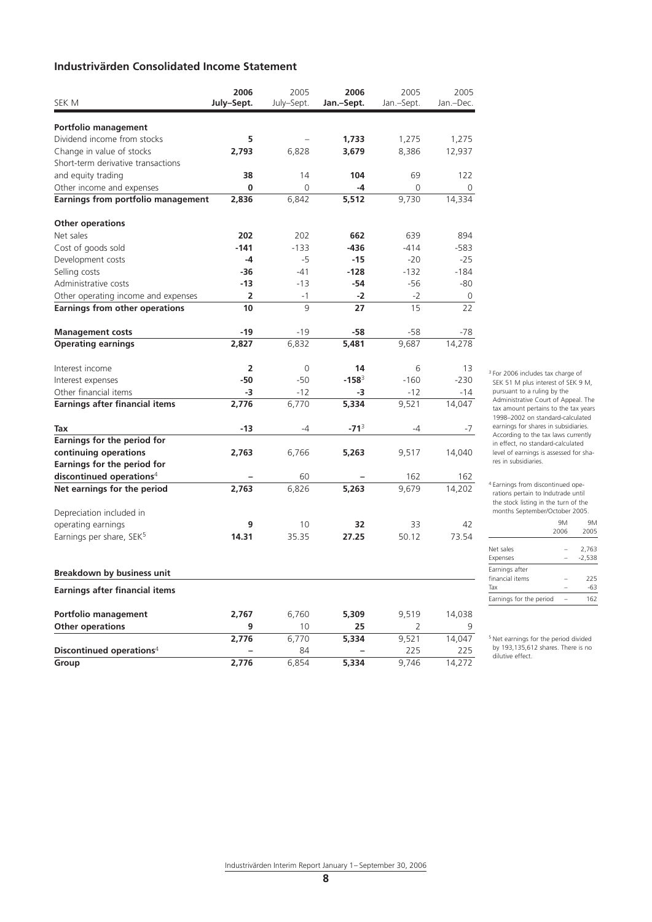# **Industrivärden Consolidated Income Statement**

|                                       | 2006                    | 2005       | 2006       | 2005       | 2005      |
|---------------------------------------|-------------------------|------------|------------|------------|-----------|
| SEK M                                 | July-Sept.              | July-Sept. | Jan.-Sept. | Jan.-Sept. | Jan.-Dec. |
| Portfolio management                  |                         |            |            |            |           |
| Dividend income from stocks           | 5                       |            | 1,733      | 1,275      | 1,275     |
| Change in value of stocks             | 2,793                   | 6,828      | 3,679      | 8,386      | 12,937    |
| Short-term derivative transactions    |                         |            |            |            |           |
| and equity trading                    | 38                      | 14         | 104        | 69         | 122       |
| Other income and expenses             | $\bf{0}$                | $\Omega$   | -4         | 0          | 0         |
| Earnings from portfolio management    | 2,836                   | 6,842      | 5,512      | 9,730      | 14,334    |
|                                       |                         |            |            |            |           |
| <b>Other operations</b>               |                         |            |            |            |           |
| Net sales                             | 202                     | 202        | 662        | 639        | 894       |
| Cost of goods sold                    | $-141$                  | $-133$     | -436       | $-414$     | -583      |
| Development costs                     | $-4$                    | -5         | -15        | $-20$      | $-25$     |
| Selling costs                         | -36                     | -41        | $-128$     | $-132$     | $-184$    |
| Administrative costs                  | -13                     | $-13$      | -54        | -56        | -80       |
| Other operating income and expenses   | $\overline{2}$          | $-1$       | $-2$       | $-2$       | 0         |
| <b>Earnings from other operations</b> | 10                      | 9          | 27         | 15         | 22        |
|                                       |                         |            |            |            |           |
| <b>Management costs</b>               | -19                     | -19        | -58        | -58        | -78       |
| <b>Operating earnings</b>             | 2,827                   | 6,832      | 5,481      | 9,687      | 14,278    |
| Interest income                       | $\overline{\mathbf{2}}$ | 0          | 14         | 6          | 13        |
| Interest expenses                     | -50                     | $-50$      | $-158^3$   | $-160$     | $-230$    |
| Other financial items                 | -3                      | $-12$      | -3         | $-12$      | $-14$     |
| <b>Earnings after financial items</b> | 2,776                   | 6,770      | 5,334      | 9,521      | 14,047    |
| Tax                                   | -13                     | -4         | $-71^3$    | -4         | -7        |
|                                       |                         |            |            |            |           |
| Earnings for the period for           |                         |            |            |            |           |
| continuing operations                 | 2,763                   | 6,766      | 5,263      | 9,517      | 14,040    |
| Earnings for the period for           |                         |            |            |            |           |
| discontinued operations <sup>4</sup>  |                         | 60         |            | 162        | 162       |
| Net earnings for the period           | 2,763                   | 6,826      | 5,263      | 9,679      | 14,202    |
| Depreciation included in              |                         |            |            |            |           |
| operating earnings                    | 9                       | 10         | 32         | 33         | 42        |
| Earnings per share, SEK <sup>5</sup>  | 14.31                   | 35.35      | 27.25      | 50.12      | 73.54     |
|                                       |                         |            |            |            |           |
| <b>Breakdown by business unit</b>     |                         |            |            |            |           |
| <b>Earnings after financial items</b> |                         |            |            |            |           |
| Portfolio management                  | 2,767                   | 6,760      | 5,309      | 9,519      | 14,038    |
| <b>Other operations</b>               | 9                       | 10         | 25         | 2          | 9         |
|                                       | 2,776                   | 6,770      | 5,334      | 9,521      | 14,047    |
| Discontinued operations <sup>4</sup>  |                         | 84         |            | 225        | 225       |
| Group                                 | 2,776                   | 6,854      | 5,334      | 9,746      | 14,272    |

<sup>3</sup> For 2006 includes tax charge of SEK 51 M plus interest of SEK 9 M, pursuant to a ruling by the Administrative Court of Appeal. The tax amount pertains to the tax years 1998–2002 on standard-calculated earnings for shares in subsidiaries. According to the tax laws currently in effect, no standard-calculated level of earnings is assessed for shares in subsidiaries.

4 Earnings from discontinued operations pertain to Indutrade until the stock listing in the turn of the months September/October 2005.

|                                          | 9Μ<br>2006 | 9M<br>2005        |
|------------------------------------------|------------|-------------------|
| Net sales<br>Expenses                    |            | 2.763<br>$-2.538$ |
| Earnings after<br>financial items<br>Tax |            | 225<br>-63        |
| Earnings for the period                  |            | 162               |

5 Net earnings for the period divided by 193,135,612 shares. There is no dilutive effect.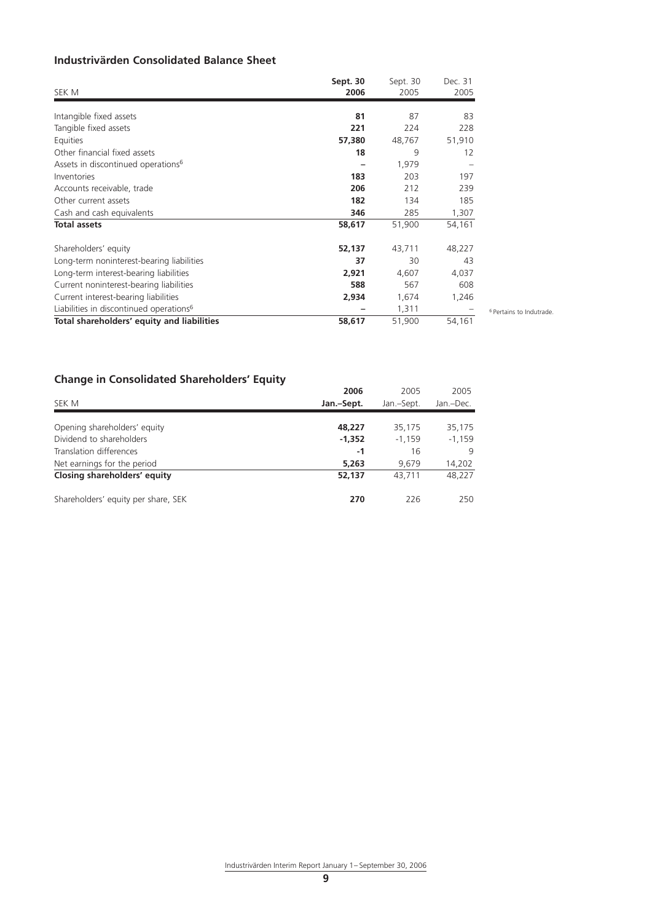# **Industrivärden Consolidated Balance Sheet**

| SEK M                                               | Sept. 30<br>2006 | Sept. 30<br>2005 | Dec. 31<br>2005 |
|-----------------------------------------------------|------------------|------------------|-----------------|
| Intangible fixed assets                             | 81               | 87               | 83              |
| Tangible fixed assets                               | 221              | 224              | 228             |
| Equities                                            | 57,380           | 48,767           | 51,910          |
| Other financial fixed assets                        | 18               | 9                | 12              |
| Assets in discontinued operations <sup>6</sup>      |                  | 1,979            |                 |
| Inventories                                         | 183              | 203              | 197             |
| Accounts receivable, trade                          | 206              | 212              | 239             |
| Other current assets                                | 182              | 134              | 185             |
| Cash and cash equivalents                           | 346              | 285              | 1,307           |
| <b>Total assets</b>                                 | 58,617           | 51,900           | 54,161          |
| Shareholders' equity                                | 52,137           | 43,711           | 48,227          |
| Long-term noninterest-bearing liabilities           | 37               | 30               | 43              |
| Long-term interest-bearing liabilities              | 2,921            | 4,607            | 4,037           |
| Current noninterest-bearing liabilities             | 588              | 567              | 608             |
| Current interest-bearing liabilities                | 2,934            | 1,674            | 1,246           |
| Liabilities in discontinued operations <sup>6</sup> |                  | 1,311            |                 |
| Total shareholders' equity and liabilities          | 58,617           | 51,900           | 54,161          |

6 Pertains to Indutrade.

# **Change in Consolidated Shareholders' Equity**

|                                     | 2006       | 2005       | 2005      |
|-------------------------------------|------------|------------|-----------|
| SEK M                               | Jan.-Sept. | Jan.-Sept. | Jan.-Dec. |
|                                     |            |            |           |
| Opening shareholders' equity        | 48.227     | 35,175     | 35,175    |
| Dividend to shareholders            | $-1.352$   | $-1.159$   | $-1,159$  |
| Translation differences             | -1         | 16         | 9         |
| Net earnings for the period         | 5.263      | 9.679      | 14,202    |
| Closing shareholders' equity        | 52,137     | 43.711     | 48.227    |
| Shareholders' equity per share, SEK | 270        | 226        | 250       |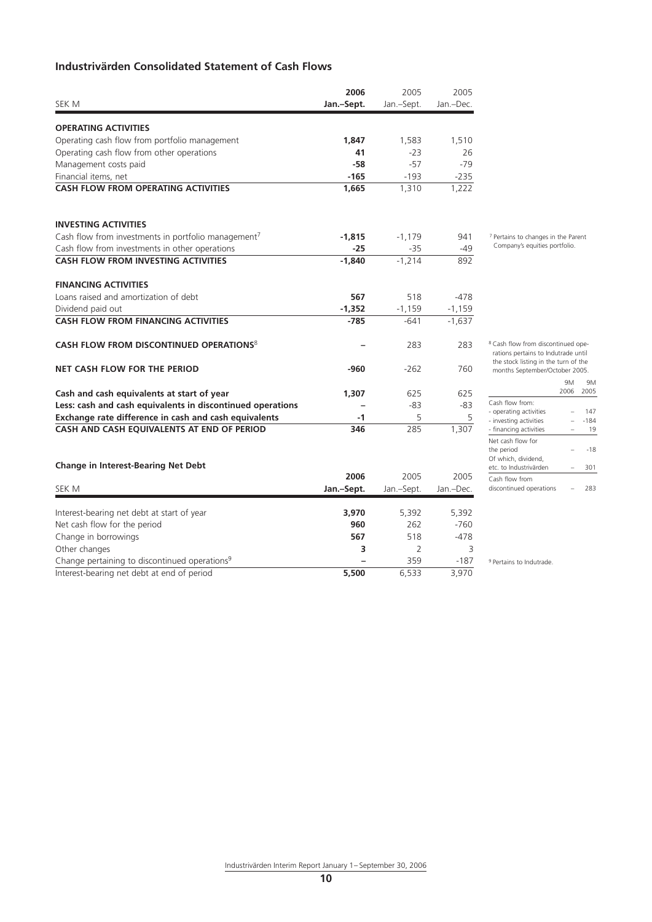# **Industrivärden Consolidated Statement of Cash Flows**

|                                                                 | 2006       | 2005       | 2005      |
|-----------------------------------------------------------------|------------|------------|-----------|
| <b>SEK M</b>                                                    | Jan.-Sept. | Jan.-Sept. | Jan.-Dec. |
|                                                                 |            |            |           |
| <b>OPERATING ACTIVITIES</b>                                     |            |            |           |
| Operating cash flow from portfolio management                   | 1.847      | 1,583      | 1,510     |
| Operating cash flow from other operations                       | 41         | $-23$      | 26        |
| Management costs paid                                           | $-58$      | $-57$      | $-79$     |
| Financial items, net                                            | $-165$     | $-193$     | $-235$    |
| <b>CASH FLOW FROM OPERATING ACTIVITIES</b>                      | 1.665      | 1,310      | 1,222     |
| <b>INVESTING ACTIVITIES</b>                                     |            |            |           |
| Cash flow from investments in portfolio management <sup>7</sup> | $-1.815$   | $-1,179$   | 941       |
| Cash flow from investments in other operations                  | $-25$      | $-35$      | $-49$     |
| <b>CASH FLOW FROM INVESTING ACTIVITIES</b>                      | $-1,840$   | $-1,214$   | 892       |
| <b>FINANCING ACTIVITIES</b>                                     |            |            |           |
| Loans raised and amortization of debt                           | 567        | 518        | $-478$    |
| Dividend paid out                                               | $-1,352$   | $-1,159$   | $-1,159$  |
| <b>CASH FLOW FROM FINANCING ACTIVITIES</b>                      | $-785$     | $-641$     | $-1,637$  |
| CASH FLOW FROM DISCONTINUED OPERATIONS <sup>8</sup>             |            | 283        | 283       |
| <b>NET CASH FLOW FOR THE PERIOD</b>                             | -960       | $-262$     | 760       |
| Cash and cash equivalents at start of year                      | 1,307      | 625        | 625       |
| Less: cash and cash equivalents in discontinued operations      |            | $-83$      | -83       |
| Exchange rate difference in cash and cash equivalents           | -1         | 5          | 5         |
| CASH AND CASH EQUIVALENTS AT END OF PERIOD                      | 346        | 285        | 1,307     |
| <b>Change in Interest-Bearing Net Debt</b>                      |            |            |           |
|                                                                 | 2006       | 2005       | 2005      |
| <b>SEK M</b>                                                    | Jan.-Sept. | Jan.-Sept. | Jan.-Dec. |

7 Pertains to changes in the Parent Company's equities portfolio.

| the stock listing in the turn of the<br>months September/October 2005. |           |        |  |  |  |
|------------------------------------------------------------------------|-----------|--------|--|--|--|
|                                                                        | 9M        | 9Μ     |  |  |  |
|                                                                        | 2006 2005 |        |  |  |  |
| Cash flow from:                                                        |           |        |  |  |  |
| - operating activities                                                 |           | 147    |  |  |  |
| - investing activities                                                 |           | $-184$ |  |  |  |
| - financing activities                                                 |           | 19     |  |  |  |
| Net cash flow for                                                      |           |        |  |  |  |
| the period                                                             |           | -18    |  |  |  |

etc. to Industrivärden – 301

discontinued operations – 283

<sup>8</sup> Cash flow from discontinued operations pertains to Indutrade until

| Change in interest-bearing net Debt                       |            |            |           |
|-----------------------------------------------------------|------------|------------|-----------|
|                                                           | 2006       | 2005       | 2005      |
| SEK M                                                     | Jan.-Sept. | Jan.-Sept. | Jan.-Dec. |
|                                                           |            |            |           |
| Interest-bearing net debt at start of year                | 3.970      | 5.392      | 5,392     |
| Net cash flow for the period                              | 960        | 262        | $-760$    |
| Change in borrowings                                      | 567        | 518        | $-478$    |
| Other changes                                             | з          |            | 3         |
| Change pertaining to discontinued operations <sup>9</sup> |            | 359        | $-187$    |
| Interest-bearing net debt at end of period                | 5,500      | 6.533      | 3,970     |

<sup>9</sup> Pertains to Indutrade.

Of which, dividend,

Cash flow from

Industrivärden Interim Report January 1– September 30, 2006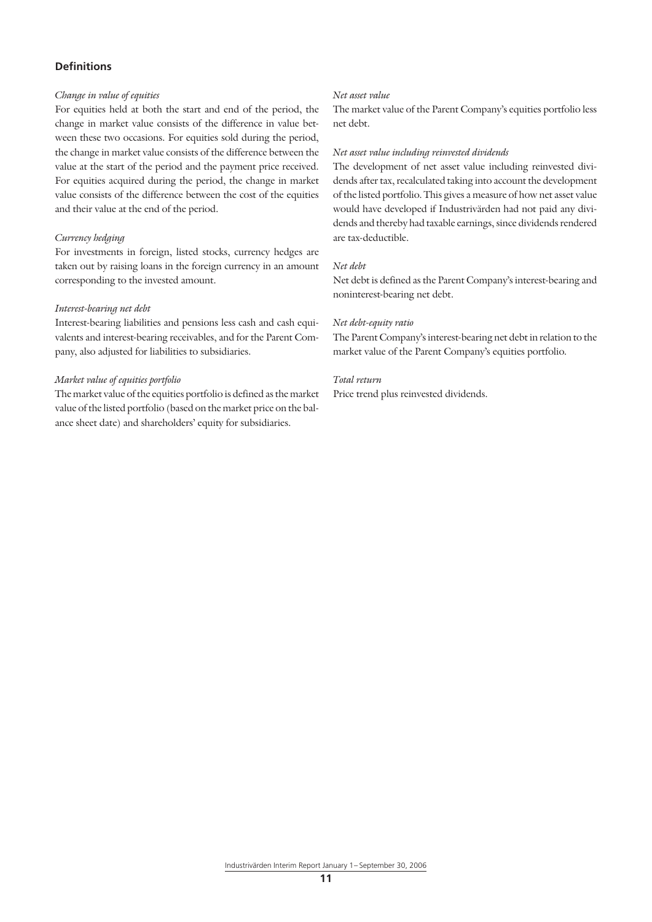# **Definitions**

### *Change in value of equities*

For equities held at both the start and end of the period, the change in market value consists of the difference in value between these two occasions. For equities sold during the period, the change in market value consists of the difference between the value at the start of the period and the payment price received. For equities acquired during the period, the change in market value consists of the difference between the cost of the equities and their value at the end of the period.

### *Currency hedging*

For investments in foreign, listed stocks, currency hedges are taken out by raising loans in the foreign currency in an amount corresponding to the invested amount.

#### *Interest-bearing net debt*

Interest-bearing liabilities and pensions less cash and cash equivalents and interest-bearing receivables, and for the Parent Company, also adjusted for liabilities to subsidiaries.

#### *Market value of equities portfolio*

The market value of the equities portfolio is defined as the market value of the listed portfolio (based on the market price on the balance sheet date) and shareholders' equity for subsidiaries.

#### *Net asset value*

The market value of the Parent Company's equities portfolio less net debt.

#### *Net asset value including reinvested dividends*

The development of net asset value including reinvested dividends after tax, recalculated taking into account the development of the listed portfolio. This gives a measure of how net asset value would have developed if Industrivärden had not paid any dividends and thereby had taxable earnings, since dividends rendered are tax-deductible.

# *Net debt*

Net debt is defined as the Parent Company's interest-bearing and noninterest-bearing net debt.

#### *Net debt-equity ratio*

The Parent Company's interest-bearing net debt in relation to the market value of the Parent Company's equities portfolio.

#### *Total return*

Price trend plus reinvested dividends.